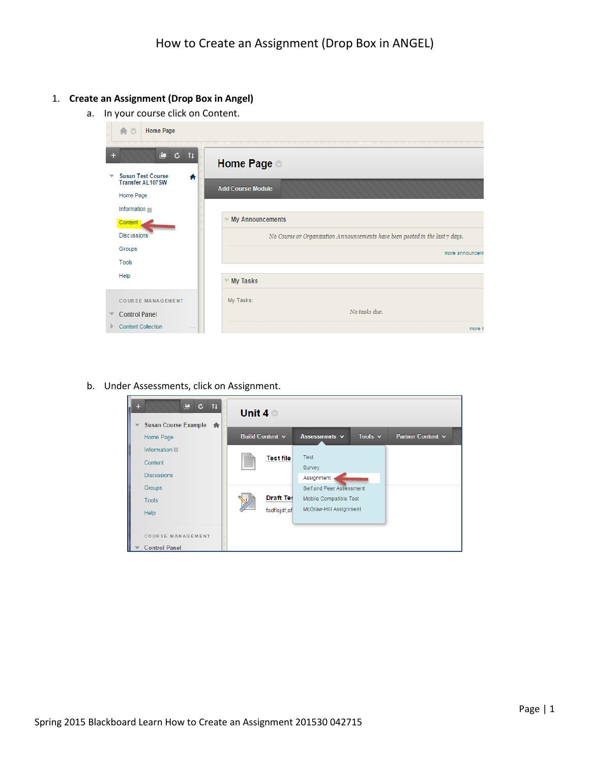## 1. **Create an Assignment (Drop Box in Angel)**

a. In your course click on Content.

| 合口<br><b>Home Page</b>                                                           |                                                                              |
|----------------------------------------------------------------------------------|------------------------------------------------------------------------------|
| ÷.<br>$C$ $11$<br>÷<br><b>Susan Test Course</b><br>$\overline{\phantom{a}}$<br>₳ | <b>Home Page</b>                                                             |
| <b>Transfer AL107SW</b><br>Home Page                                             | <b>Add Course Module</b>                                                     |
| Information                                                                      |                                                                              |
| Content                                                                          | <b>My Announcements</b>                                                      |
| <b>Discussions</b><br>Groups                                                     | No Course or Organization Announcements have been posted in the last 7 days. |
| Tools                                                                            | more announcem                                                               |
| Help                                                                             | <b>My Tasks</b>                                                              |
| <b>COURSE MANAGEMENT</b>                                                         | My Tasks:                                                                    |
| <b>Control Panel</b>                                                             | No tasks due.                                                                |
| <b>Content Collection</b>                                                        | more f                                                                       |

b. Under Assessments, click on Assignment.

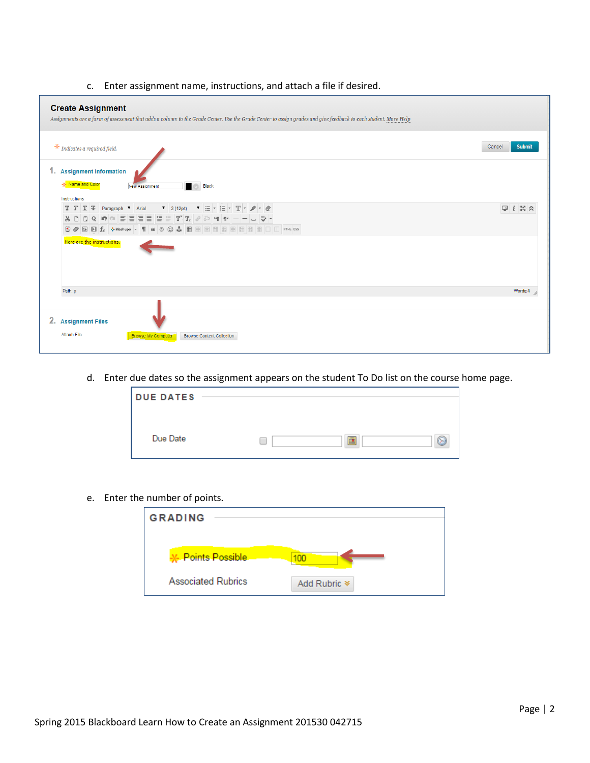## c. Enter assignment name, instructions, and attach a file if desired.

| <b>Create Assignment</b><br>Assignments are a form of assessment that adds a column to the Grade Center. Use the Grade Center to assign grades and give feedback to each student. More Help                                                                                                                                                                                                                                                                                                                                                                                                                                                                                                                                                            |                                      |  |  |
|--------------------------------------------------------------------------------------------------------------------------------------------------------------------------------------------------------------------------------------------------------------------------------------------------------------------------------------------------------------------------------------------------------------------------------------------------------------------------------------------------------------------------------------------------------------------------------------------------------------------------------------------------------------------------------------------------------------------------------------------------------|--------------------------------------|--|--|
| $*$ Indicates a required field.                                                                                                                                                                                                                                                                                                                                                                                                                                                                                                                                                                                                                                                                                                                        | Cancel<br><b>Submit</b>              |  |  |
| 1. Assignment Information<br>-X- Name and Color<br><b>Black</b><br>New Assignment<br>Instructions                                                                                                                                                                                                                                                                                                                                                                                                                                                                                                                                                                                                                                                      |                                      |  |  |
| $T$ $T$ $T$ $T$ Paragraph $\bullet$ Arial<br>$7 \t3(12pt)$<br>$\mathbf{v} \equiv \mathbf{v} \equiv \mathbf{v} \mathbf{T} \mathbf{v} + \mathbf{v} \mathbf{v}$<br>$\mathsf{Q}\,\big \, \mathsf{M}\,\big \, \mathsf{M}\,\big \, \overline{\equiv}\,\, \overline{\equiv}\,\, \overline{\equiv}\,\, \overline{\equiv}\,\, \overline{\equiv}\,\, \overline{\equiv}\,\, \overline{\mathsf{T}}^{\mathsf{x}}\,\overline{\mathsf{T}}_{\mathsf{x}}\,\big \, \mathscr{O}\,\big \, \mathscr{E}^{\mathsf{y}}\,\, \mathsf{M}\,\, \mathsf{M}\,\, \mathsf{M}\,\, \mathsf{M}\,\, \mathsf{M}\,\, \mathsf{M}\,\, \mathsf{M}\,\, \mathsf{M}\,\, \mathsf{M}\,\, \mathsf{M}\,\, \math$<br>X D D<br><i>●</i> 国日fx ◆ Mashups ▼ ¶ 4 © © ↓ 囲囲囲囲囲囲囲囲囲口口 HTML CSS<br>$\circledcirc$ | $\overline{\phantom{a}}$<br>$1 - 50$ |  |  |
| Here are the instructions.                                                                                                                                                                                                                                                                                                                                                                                                                                                                                                                                                                                                                                                                                                                             |                                      |  |  |
| Path: p                                                                                                                                                                                                                                                                                                                                                                                                                                                                                                                                                                                                                                                                                                                                                | Words:4                              |  |  |
|                                                                                                                                                                                                                                                                                                                                                                                                                                                                                                                                                                                                                                                                                                                                                        |                                      |  |  |
| 2. Assignment Files                                                                                                                                                                                                                                                                                                                                                                                                                                                                                                                                                                                                                                                                                                                                    |                                      |  |  |
| Attach File<br><b>Browse My Computer</b><br><b>Browse Content Collection</b>                                                                                                                                                                                                                                                                                                                                                                                                                                                                                                                                                                                                                                                                           |                                      |  |  |

d. Enter due dates so the assignment appears on the student To Do list on the course home page.

| <b>DUE DATES</b> |        |
|------------------|--------|
|                  |        |
|                  |        |
|                  |        |
|                  |        |
| Due Date         | e<br>圖 |
|                  |        |
|                  |        |

e. Enter the number of points.

| <b>GRADING</b>             |                         |
|----------------------------|-------------------------|
|                            |                         |
|                            |                         |
| <b>X</b> . Points Possible |                         |
|                            |                         |
| <b>Associated Rubrics</b>  | Add Rubric <sup>₹</sup> |
|                            |                         |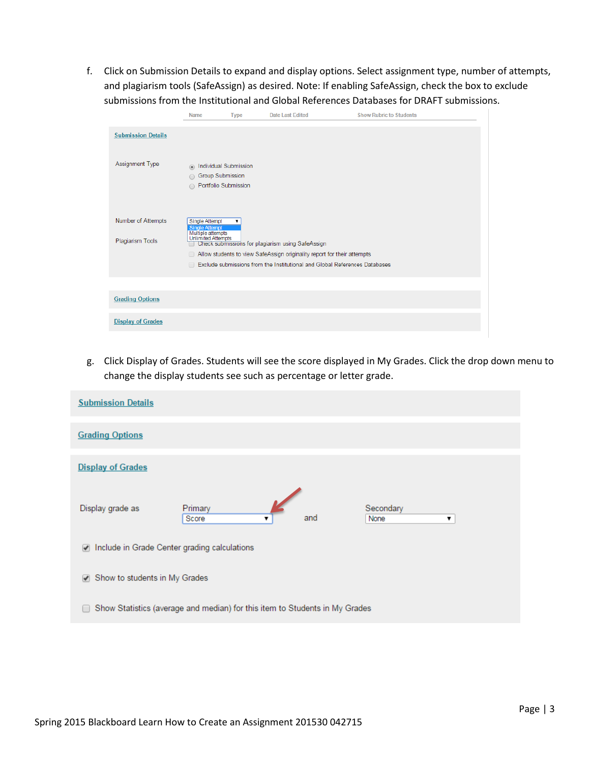f. Click on Submission Details to expand and display options. Select assignment type, number of attempts, and plagiarism tools (SafeAssign) as desired. Note: If enabling SafeAssign, check the box to exclude submissions from the Institutional and Global References Databases for DRAFT submissions.

|                                        | <b>Name</b>                                                                                | <b>Type</b> | Date Last Edited                                                                                                                                                                                           | <b>Show Rubric to Students</b> |
|----------------------------------------|--------------------------------------------------------------------------------------------|-------------|------------------------------------------------------------------------------------------------------------------------------------------------------------------------------------------------------------|--------------------------------|
| <b>Submission Details</b>              |                                                                                            |             |                                                                                                                                                                                                            |                                |
| Assignment Type                        | Individual Submission<br>$\circledcirc$<br><b>Group Submission</b><br>Portfolio Submission |             |                                                                                                                                                                                                            |                                |
| Number of Attempts<br>Plagiarism Tools | Single Attempt<br><b>Single Attempt</b><br>Multiple attempts<br><b>Unlimited Attempts</b>  | ▼           | Check submissions for plagiarism using SafeAssign<br>Allow students to view SafeAssign originality report for their attempts<br>Exclude submissions from the Institutional and Global References Databases |                                |
|                                        |                                                                                            |             |                                                                                                                                                                                                            |                                |
| <b>Grading Options</b>                 |                                                                                            |             |                                                                                                                                                                                                            |                                |
| <b>Display of Grades</b>               |                                                                                            |             |                                                                                                                                                                                                            |                                |

g. Click Display of Grades. Students will see the score displayed in My Grades. Click the drop down menu to change the display students see such as percentage or letter grade.

| <b>Submission Details</b>                                                   |                       |     |                        |  |
|-----------------------------------------------------------------------------|-----------------------|-----|------------------------|--|
| <b>Grading Options</b>                                                      |                       |     |                        |  |
| <b>Display of Grades</b>                                                    |                       |     |                        |  |
| Display grade as                                                            | Primary<br>Score<br>▼ | and | Secondary<br>None<br>7 |  |
| Include in Grade Center grading calculations<br>$\overline{\mathscr{L}}$    |                       |     |                        |  |
| Show to students in My Grades<br>✔                                          |                       |     |                        |  |
| Show Statistics (average and median) for this item to Students in My Grades |                       |     |                        |  |